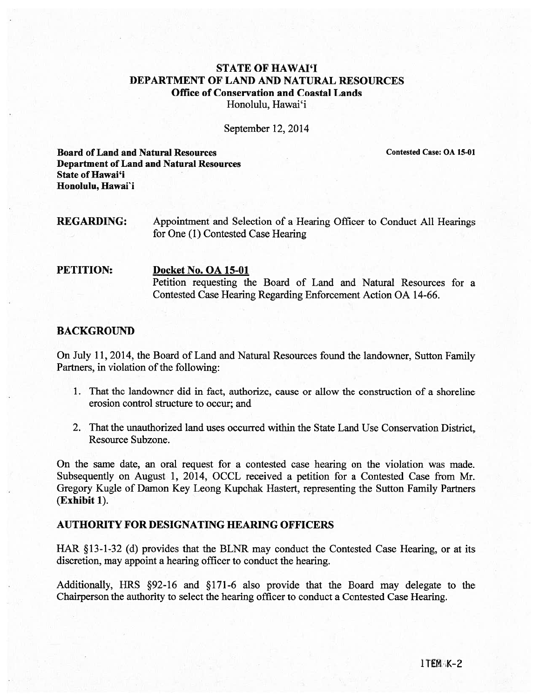# STATE OF HAWAI'I DEPARTMENT OF LAND AND NATURAL RESOURCES Office of Conservation and Coastal Lands Honolulu, Hawai'i

September 12, 2014

Board of Land and Natural Resources Contested Case: OA 15-01 Department of Land and Natural Resources State of Hawai'i Honolulu, Hawai'i

REGARDING: Appointment and Selection of <sup>a</sup> Hearing Officer to Conduct All Hearings for One (1) Contested Case Hearing

#### PETITION: Docket No. OA 15-01

Petition requesting the Board of Land and Natural Resources for <sup>a</sup> Contested Case Hearing Regarding Enforcement Action OA 14-66.

#### BACKGROUND

On July 11, 2014, the Board of Land and Natural Resources found the landowner, Sutton Family Partners, in violation of the following:

- 1. That the landowner did in fact, authorize, cause or allow the construction of <sup>a</sup> shoreline erosion control structure to occur; and
- 2. That the unauthorized land uses occurred within the State Land Use Conservation District, Resource Subzone.

On the same date, an oral reques<sup>t</sup> for <sup>a</sup> contested case hearing on the violation was made. Subsequently on August 1, 2014, OCCL received <sup>a</sup> petition for <sup>a</sup> Contested Case from Mr. Gregory Kugle of Damon Key Leong Kupchak Hastert, representing the Sutton Family Partners (Exhibit 1).

## AUTHORITY FOR DESIGNATING HEARING OFFICERS

HAR §13-1-32 (d) provides that the BLNR may conduct the Contested Case Hearing, or at its discretion, may appoint <sup>a</sup> hearing officer to conduct the hearing.

Additionally, HRS §92-16 and §171-6 also provide that the Board may delegate to the Chairperson the authority to select the hearing officer to conduct <sup>a</sup> Contested Case Hearing.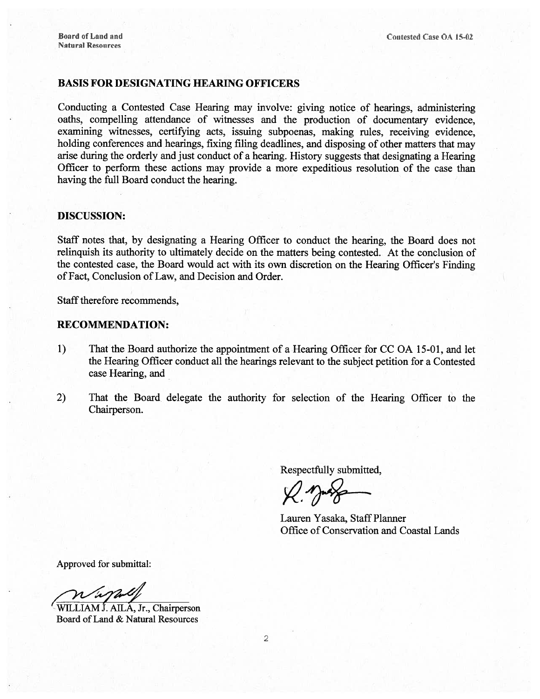### BASIS FOR DESIGNATING HEARING OFFICERS

Conducting <sup>a</sup> Contested Case Hearing may involve: <sup>g</sup>iving notice of hearings, administering oaths, compelling attendance of witnesses and the production of documentary evidence, examining witnesses, certifying acts, issuing subpoenas, making rules, receiving evidence, holding conferences and hearings, fixing filing deadlines, and disposing of other matters that may arise during the orderly and just conduct of <sup>a</sup> hearing. History suggests that designating <sup>a</sup> Hearing Officer to perform these actions may provide <sup>a</sup> more expeditious resolution of the case than having the full Board conduct the hearing.

#### DISCUSSION:

Staff notes that, by designating <sup>a</sup> Hearing Officer to conduct the hearing, the Board does not relinquish its authority to ultimately decide on the matters being contested. At the conclusion of the contested case, the Board would act with its own discretion on the Hearing Officer's Finding of Fact, Conclusion of Law, and Decision and Order.

Staff therefore recommends,

#### RECOMMENDATION:

- 1) That the Board authorize the appointment of a Hearing Officer for CC OA 15-01, and let the Hearing Officer conduct all the hearings relevant to the subject petition for <sup>a</sup> Contested case Hearing, and
- 2) That the Board delegate the authority for selection of the Hearing Officer to the Chairperson.

Respectfully submitted,

Lauren Yasaka, Staff Planner Office of Conservation and Coastal Lands

Approved for submittal:

<sup>41</sup>WILLIAM J. AILA, Jr., Chairperson Board of Land & Natural Resources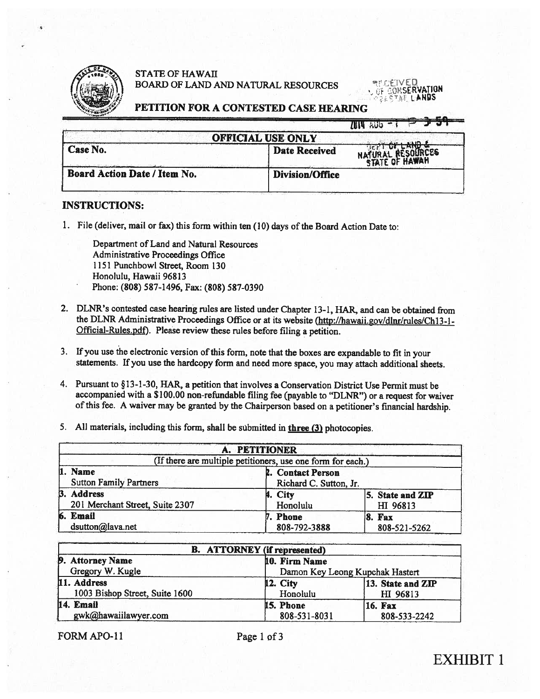

### STATE OF HAWAII BOARD OF LAND AND NATURAL RESOURCES

**MEGEIVED**<br>OF GORSERVATION **DASTAL LANDS** 

#### PETITION FOR A CONTESTED CASE HEARING

| <b>OFFICIAL USE ONLY</b>     |                        |  |  |  |
|------------------------------|------------------------|--|--|--|
| Case No.                     | <b>Date Received</b>   |  |  |  |
| Board Action Date / Item No. | <b>Division/Office</b> |  |  |  |

#### INSTRUCTIONS:

1. File (deliver, mail or fax) this form within ten (10) days of the Board Action Date to:

Department of Land and Natural Resources Administrative Proceedings Office 1151 Punchbowl Street, Room 130 Honolulu, Hawaii 96813 Phone: (808) 587-1496, Fax: (808) 587-0390

- 2. DLNR's contested case hearing rules are listed under Chapter 13-1, HAR, and can be obtained from the DLNR Administrative Proceedings Office or at its website (http://hawaii.gov/dlnr/rules/Ch13-1-Official-Rules.pdf). Please review these rules before filing <sup>a</sup> petition.
- 3. If you use the electronic version of this form, note that the boxes are expandable to fit in your statements. If you use the hardcopy form and need more space, you may attach additional sheets.
- 4. Pursuant to §13-1-30, HAR, <sup>a</sup> petition that involves <sup>a</sup> Conservation District Use Permit must be accompanied with <sup>a</sup> \$100.00 non-refundable filing fee (payable to "DLNR") or <sup>a</sup> reques<sup>t</sup> for waiver of this fee. <sup>A</sup> waiver may be granted by the Chairperson based on <sup>a</sup> petitioner's financial hardship.
- 5. All materials, including this form, shall be submitted in three (3) <sup>p</sup>hotocopies.

|                                                             | A. PETITIONER            |                               |  |  |  |
|-------------------------------------------------------------|--------------------------|-------------------------------|--|--|--|
| (If there are multiple petitioners, use one form for each.) |                          |                               |  |  |  |
| 1. Name<br><b>Sutton Family Partners</b>                    | 2. Contact Person        | Richard C. Sutton, Jr.        |  |  |  |
| <b>B.</b> Address<br>201 Merchant Street, Suite 2307        | 4. City<br>Honolulu      | 5. State and ZIP<br>HI 96813  |  |  |  |
| 6. Email<br>dsutton@lava.net                                | 7. Phone<br>808-792-3888 | <b>8. Fax</b><br>808-521-5262 |  |  |  |

| <b>B.</b> ATTORNEY (if represented) |                                 |                   |  |  |
|-------------------------------------|---------------------------------|-------------------|--|--|
| 9. Attorney Name                    | 10. Firm Name                   |                   |  |  |
| Gregory W. Kugle                    | Damon Key Leong Kupchak Hastert |                   |  |  |
| 11. Address                         | <b>12. City</b>                 | 13. State and ZIP |  |  |
| 1003 Bishop Street, Suite 1600      | Honolulu                        | HI 96813          |  |  |
| 14. Email                           | 15. Phone                       | <b>16. Fax</b>    |  |  |
| gwk@hawaiilawyer.com                | 808-531-8031                    | 808-533-2242      |  |  |

FORM APO-11 Page 1 of 3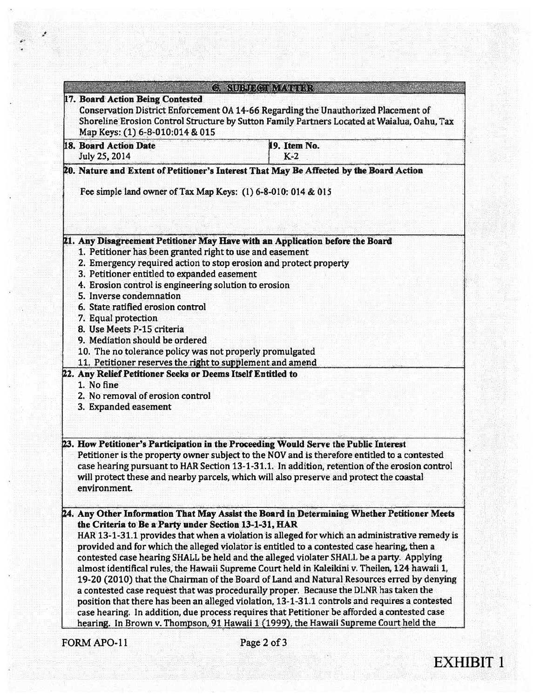|                                                                                                                                                                                                                                                                                                                                                                                                                                                                                                                       | <b>C. SUBJECT MATTER</b>                                                                                                                                                                                                                                                                                                                                                                                                                                                                                                                                                                                                                                                                                                                                                                                                                                                                                                                                                   |
|-----------------------------------------------------------------------------------------------------------------------------------------------------------------------------------------------------------------------------------------------------------------------------------------------------------------------------------------------------------------------------------------------------------------------------------------------------------------------------------------------------------------------|----------------------------------------------------------------------------------------------------------------------------------------------------------------------------------------------------------------------------------------------------------------------------------------------------------------------------------------------------------------------------------------------------------------------------------------------------------------------------------------------------------------------------------------------------------------------------------------------------------------------------------------------------------------------------------------------------------------------------------------------------------------------------------------------------------------------------------------------------------------------------------------------------------------------------------------------------------------------------|
| 17. Board Action Being Contested<br>Map Keys: (1) 6-8-010:014 & 015                                                                                                                                                                                                                                                                                                                                                                                                                                                   | Conservation District Enforcement OA 14-66 Regarding the Unauthorized Placement of<br>Shoreline Erosion Control Structure by Sutton Family Partners Located at Waialua, Oahu, Tax                                                                                                                                                                                                                                                                                                                                                                                                                                                                                                                                                                                                                                                                                                                                                                                          |
| 18. Board Action Date<br>July 25, 2014                                                                                                                                                                                                                                                                                                                                                                                                                                                                                | 19. Item No.<br>$K-2$                                                                                                                                                                                                                                                                                                                                                                                                                                                                                                                                                                                                                                                                                                                                                                                                                                                                                                                                                      |
| Fee simple land owner of Tax Map Keys: (1) 6-8-010: 014 & 015                                                                                                                                                                                                                                                                                                                                                                                                                                                         | 20. Nature and Extent of Petitioner's Interest That May Be Affected by the Board Action                                                                                                                                                                                                                                                                                                                                                                                                                                                                                                                                                                                                                                                                                                                                                                                                                                                                                    |
| 1. Petitioner has been granted right to use and easement<br>2. Emergency required action to stop erosion and protect property<br>3. Petitioner entitled to expanded easement<br>4. Erosion control is engineering solution to erosion<br>5. Inverse condemnation<br>6. State ratified erosion control<br>7. Equal protection<br>8. Use Meets P-15 criteria<br>9. Mediation should be ordered<br>10. The no tolerance policy was not properly promulgated<br>11. Petitioner reserves the right to supplement and amend | 21. Any Disagreement Petitioner May Have with an Application before the Board                                                                                                                                                                                                                                                                                                                                                                                                                                                                                                                                                                                                                                                                                                                                                                                                                                                                                              |
| 22. Any Relief Petitioner Seeks or Deems Itself Entitled to<br>1. No fine<br>2. No removal of erosion control<br>3. Expanded easement                                                                                                                                                                                                                                                                                                                                                                                 |                                                                                                                                                                                                                                                                                                                                                                                                                                                                                                                                                                                                                                                                                                                                                                                                                                                                                                                                                                            |
| environment.                                                                                                                                                                                                                                                                                                                                                                                                                                                                                                          | 23. How Petitioner's Participation in the Proceeding Would Serve the Public Interest<br>Petitioner is the property owner subject to the NOV and is therefore entitled to a contested<br>case hearing pursuant to HAR Section 13-1-31.1. In addition, retention of the erosion control<br>will protect these and nearby parcels, which will also preserve and protect the coastal                                                                                                                                                                                                                                                                                                                                                                                                                                                                                                                                                                                           |
| the Criteria to Be a Party under Section 13-1-31, HAR                                                                                                                                                                                                                                                                                                                                                                                                                                                                 | 24. Any Other Information That May Assist the Board in Determining Whether Petitioner Meets<br>HAR 13-1-31.1 provides that when a violation is alleged for which an administrative remedy is<br>provided and for which the alleged violator is entitled to a contested case hearing, then a<br>contested case hearing SHALL be held and the alleged violater SHALL be a party. Applying<br>almost identifical rules, the Hawaii Supreme Court held in Kaleikini v. Theilen, 124 hawaii 1,<br>19-20 (2010) that the Chairman of the Board of Land and Natural Resources erred by denying<br>a contested case request that was procedurally proper. Because the DLNR has taken the<br>position that there has been an alleged violation, 13-1-31.1 controls and requires a contested<br>case hearing. In addition, due process requires that Petitioner be afforded a contested case<br>hearing. In Brown v. Thompson, 91 Hawaii 1 (1999), the Hawaii Supreme Court held the |
| <b>FORM APO-11</b>                                                                                                                                                                                                                                                                                                                                                                                                                                                                                                    | Page 2 of 3                                                                                                                                                                                                                                                                                                                                                                                                                                                                                                                                                                                                                                                                                                                                                                                                                                                                                                                                                                |